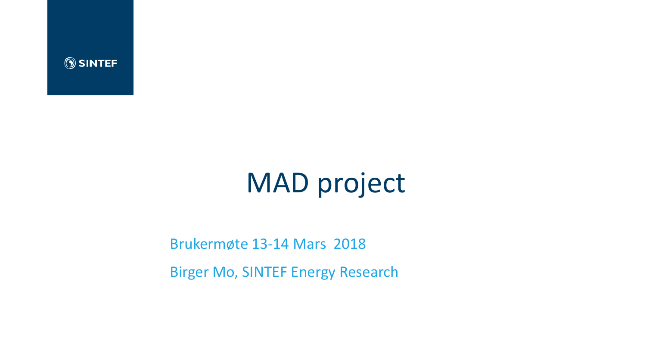

# MAD project

#### Brukermøte 13-14 Mars 2018

Birger Mo, SINTEF Energy Research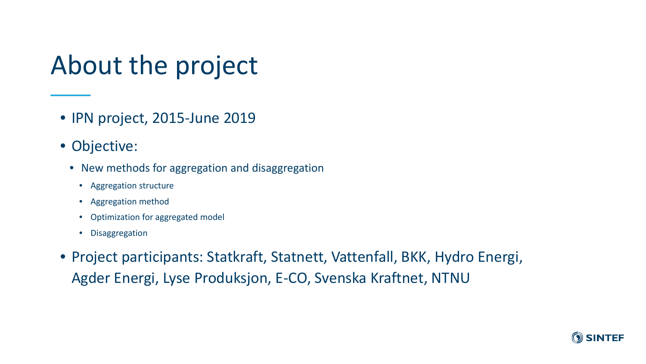# About the project

- IPN project, 2015-June 2019
- Objective:
	- New methods for aggregation and disaggregation
		- Aggregation structure
		- Aggregation method
		- Optimization for aggregated model
		- Disaggregation
- Project participants: Statkraft, Statnett, Vattenfall, BKK, Hydro Energi, Agder Energi, Lyse Produksjon, E-CO, Svenska Kraftnet, NTNU

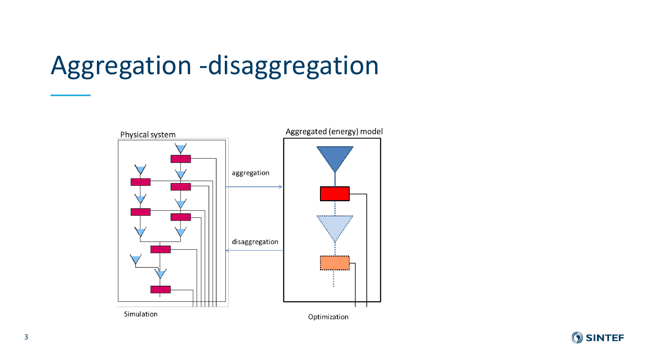# Aggregation -disaggregation



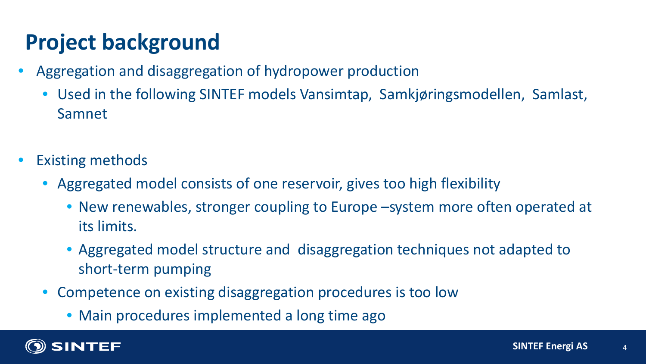# **Project background**

- Aggregation and disaggregation of hydropower production
	- Used in the following SINTEF models Vansimtap, Samkjøringsmodellen, Samlast, Samnet
- Existing methods
	- Aggregated model consists of one reservoir, gives too high flexibility
		- New renewables, stronger coupling to Europe –system more often operated at its limits.
		- Aggregated model structure and disaggregation techniques not adapted to short-term pumping
	- Competence on existing disaggregation procedures is too low
		- Main procedures implemented a long time ago

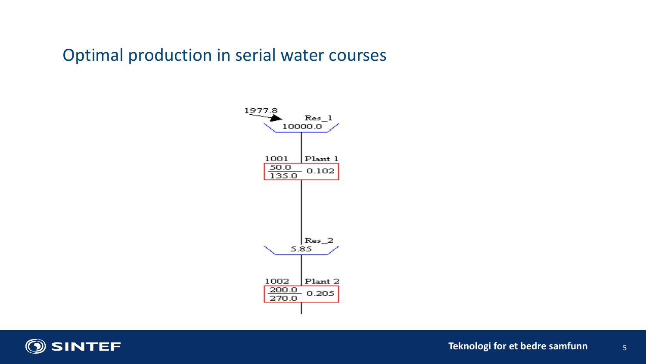### Optimal production in serial water courses



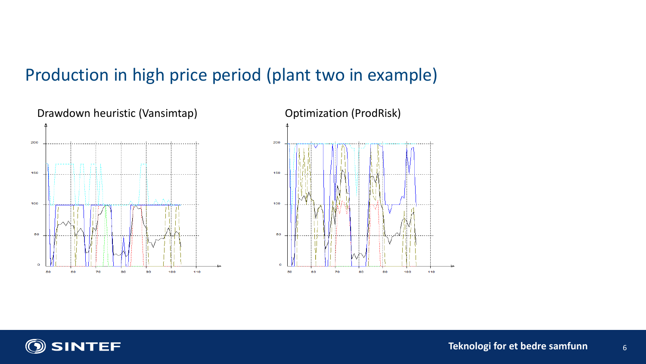# Production in high price period (plant two in example)





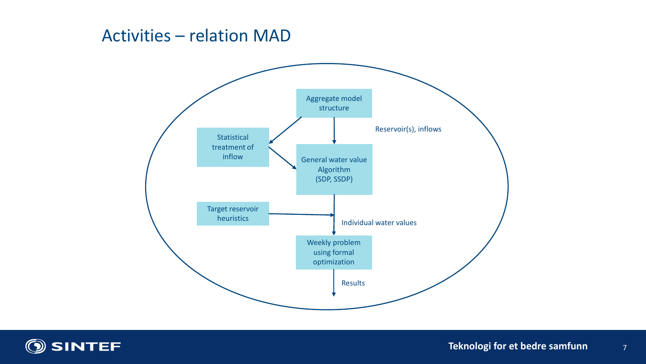### Activities – relation MAD



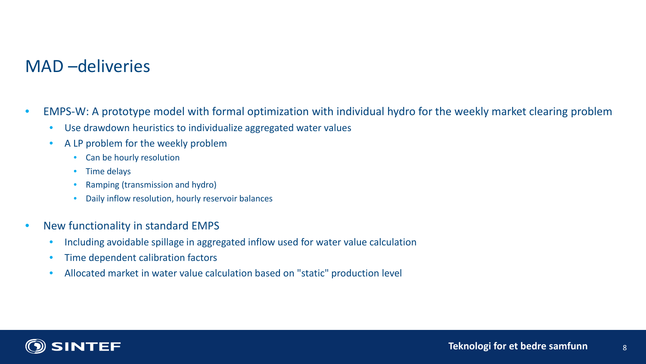## MAD –deliveries

- EMPS-W: A prototype model with formal optimization with individual hydro for the weekly market clearing problem
	- Use drawdown heuristics to individualize aggregated water values
	- A LP problem for the weekly problem
		- Can be hourly resolution
		- Time delays
		- Ramping (transmission and hydro)
		- Daily inflow resolution, hourly reservoir balances
- New functionality in standard EMPS
	- Including avoidable spillage in aggregated inflow used for water value calculation
	- Time dependent calibration factors
	- Allocated market in water value calculation based on "static" production level

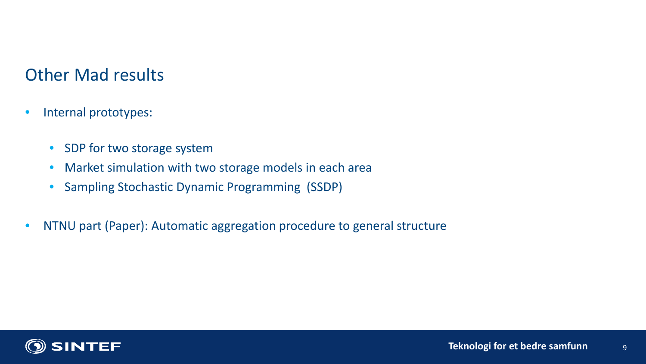# Other Mad results

- Internal prototypes:
	- SDP for two storage system
	- Market simulation with two storage models in each area
	- Sampling Stochastic Dynamic Programming (SSDP)
- NTNU part (Paper): Automatic aggregation procedure to general structure

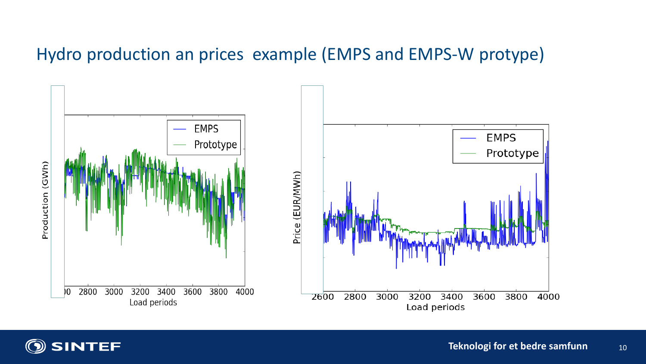# Hydro production an prices example (EMPS and EMPS-W protype)